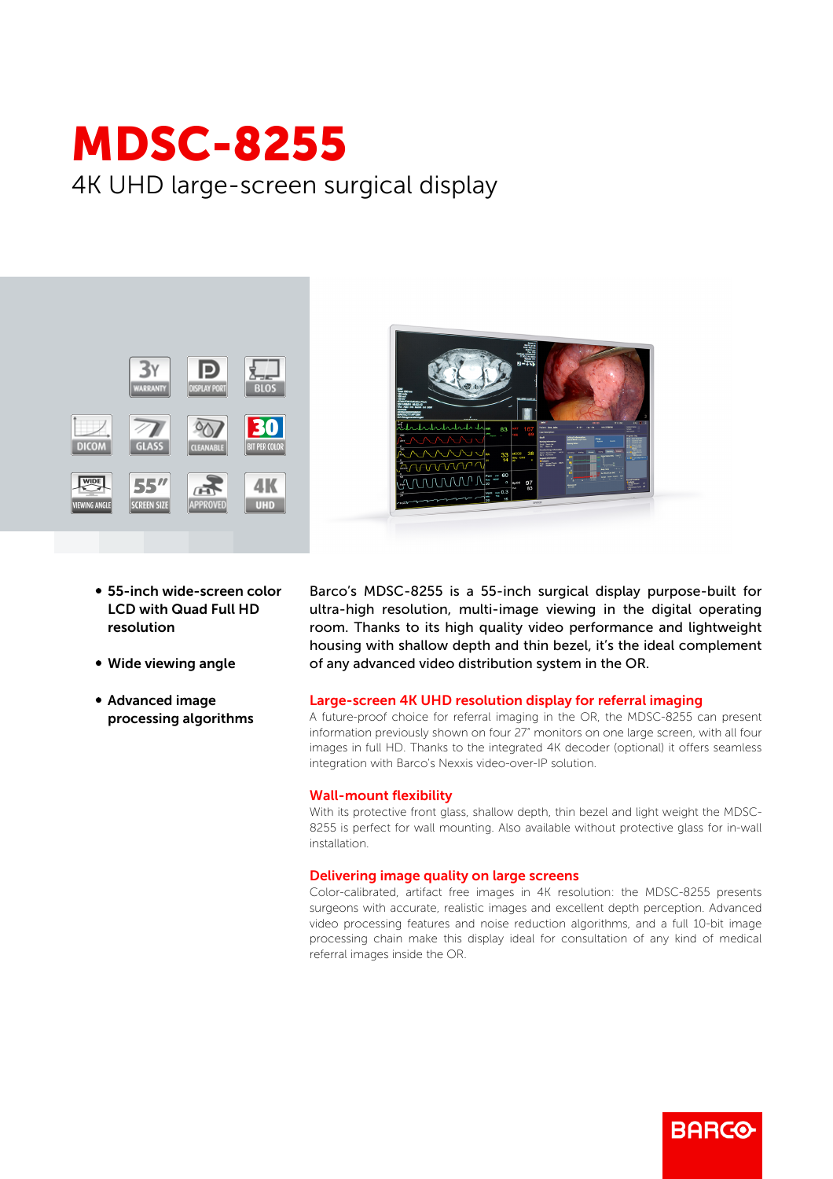# MDSC-8255 4K UHD large-screen surgical display





- 55-inch wide-screen color LCD with Quad Full HD resolution
- Wide viewing angle
- **Advanced image** processing algorithms

Barco's MDSC-8255 is a 55-inch surgical display purpose-built for ultra-high resolution, multi-image viewing in the digital operating room. Thanks to its high quality video performance and lightweight housing with shallow depth and thin bezel, it's the ideal complement of any advanced video distribution system in the OR.

## Large-screen 4K UHD resolution display for referral imaging

A future-proof choice for referral imaging in the OR, the MDSC-8255 can present information previously shown on four 27" monitors on one large screen, with all four images in full HD. Thanks to the integrated 4K decoder (optional) it offers seamless integration with Barco's Nexxis video-over-IP solution.

## Wall-mount flexibility

With its protective front glass, shallow depth, thin bezel and light weight the MDSC-8255 is perfect for wall mounting. Also available without protective glass for in-wall installation.

## Delivering image quality on large screens

Color-calibrated, artifact free images in 4K resolution: the MDSC-8255 presents surgeons with accurate, realistic images and excellent depth perception. Advanced video processing features and noise reduction algorithms, and a full 10-bit image processing chain make this display ideal for consultation of any kind of medical referral images inside the OR.

**BARGO**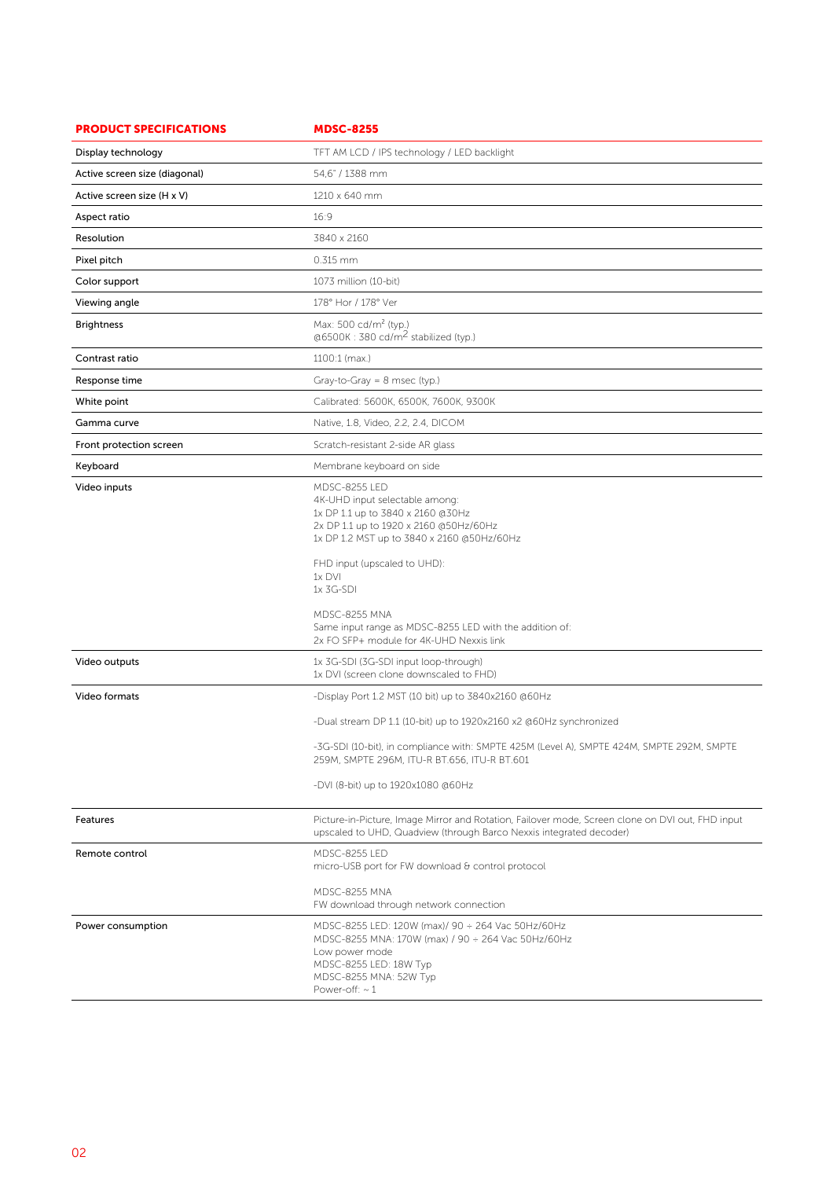| <b>PRODUCT SPECIFICATIONS</b> | <b>MDSC-8255</b>                                                                                                                                                                                                                                                                                                                                                   |
|-------------------------------|--------------------------------------------------------------------------------------------------------------------------------------------------------------------------------------------------------------------------------------------------------------------------------------------------------------------------------------------------------------------|
| Display technology            | TFT AM LCD / IPS technology / LED backlight                                                                                                                                                                                                                                                                                                                        |
| Active screen size (diagonal) | 54.6" / 1388 mm                                                                                                                                                                                                                                                                                                                                                    |
| Active screen size (H x V)    | 1210 x 640 mm                                                                                                                                                                                                                                                                                                                                                      |
| Aspect ratio                  | 16:9                                                                                                                                                                                                                                                                                                                                                               |
| Resolution                    | 3840 x 2160                                                                                                                                                                                                                                                                                                                                                        |
| Pixel pitch                   | 0.315 mm                                                                                                                                                                                                                                                                                                                                                           |
| Color support                 | 1073 million (10-bit)                                                                                                                                                                                                                                                                                                                                              |
| Viewing angle                 | 178° Hor / 178° Ver                                                                                                                                                                                                                                                                                                                                                |
| <b>Brightness</b>             | Max: 500 cd/m <sup>2</sup> (typ.)<br>@6500K: 380 cd/m <sup>2</sup> stabilized (typ.)                                                                                                                                                                                                                                                                               |
| Contrast ratio                | 1100:1 (max.)                                                                                                                                                                                                                                                                                                                                                      |
| Response time                 | Gray-to-Gray = $8$ msec (typ.)                                                                                                                                                                                                                                                                                                                                     |
| White point                   | Calibrated: 5600K, 6500K, 7600K, 9300K                                                                                                                                                                                                                                                                                                                             |
| Gamma curve                   | Native, 1.8, Video, 2.2, 2.4, DICOM                                                                                                                                                                                                                                                                                                                                |
| Front protection screen       | Scratch-resistant 2-side AR glass                                                                                                                                                                                                                                                                                                                                  |
| Keyboard                      | Membrane keyboard on side                                                                                                                                                                                                                                                                                                                                          |
| Video inputs                  | <b>MDSC-8255 LED</b><br>4K-UHD input selectable among:<br>1x DP 1.1 up to 3840 x 2160 @30Hz<br>2x DP 1.1 up to 1920 x 2160 @50Hz/60Hz<br>1x DP 1.2 MST up to 3840 x 2160 @50Hz/60Hz<br>FHD input (upscaled to UHD):<br>1x DVI<br>1x 3G-SDI<br>MDSC-8255 MNA<br>Same input range as MDSC-8255 LED with the addition of:<br>2x FO SFP+ module for 4K-UHD Nexxis link |
| Video outputs                 | 1x 3G-SDI (3G-SDI input loop-through)<br>1x DVI (screen clone downscaled to FHD)                                                                                                                                                                                                                                                                                   |
| Video formats                 | -Display Port 1.2 MST (10 bit) up to 3840x2160 @60Hz                                                                                                                                                                                                                                                                                                               |
|                               | -Dual stream DP 1.1 (10-bit) up to 1920x2160 x2 @60Hz synchronized                                                                                                                                                                                                                                                                                                 |
|                               | -3G-SDI (10-bit), in compliance with: SMPTE 425M (Level A), SMPTE 424M, SMPTE 292M, SMPTE<br>259M, SMPTE 296M, ITU-R BT.656, ITU-R BT.601<br>-DVI (8-bit) up to 1920x1080 @60Hz                                                                                                                                                                                    |
| Features                      | Picture-in-Picture, Image Mirror and Rotation, Failover mode, Screen clone on DVI out, FHD input<br>upscaled to UHD, Quadview (through Barco Nexxis integrated decoder)                                                                                                                                                                                            |
| Remote control                | <b>MDSC-8255 LED</b><br>micro-USB port for FW download & control protocol<br>MDSC-8255 MNA                                                                                                                                                                                                                                                                         |
| Power consumption             | FW download through network connection<br>MDSC-8255 LED: 120W (max)/ 90 ÷ 264 Vac 50Hz/60Hz<br>MDSC-8255 MNA: 170W (max) / 90 ÷ 264 Vac 50Hz/60Hz<br>Low power mode<br>MDSC-8255 LED: 18W Typ<br>MDSC-8255 MNA: 52W Typ<br>Power-off: $\sim$ 1                                                                                                                     |